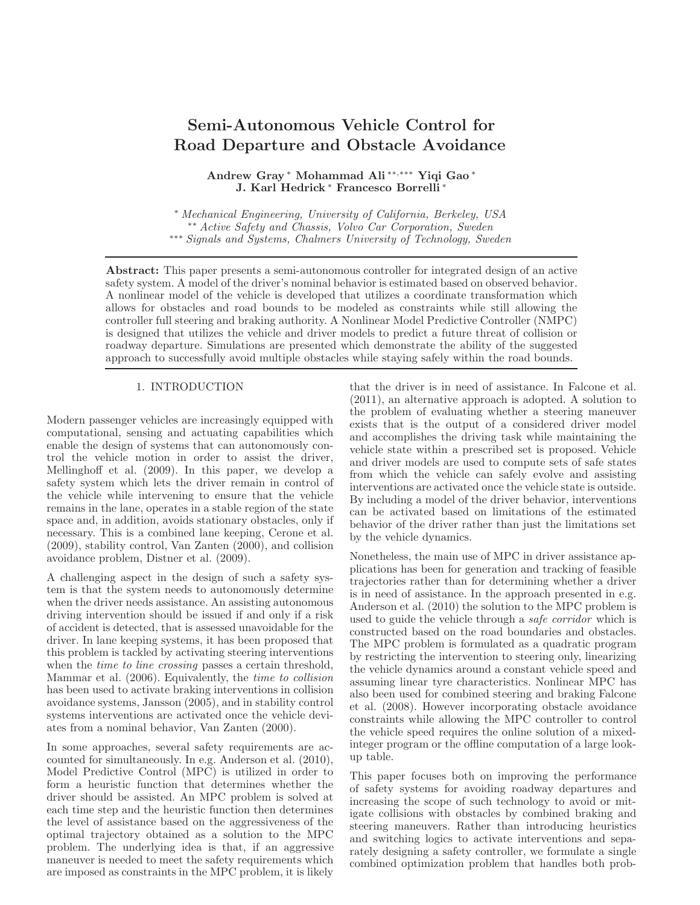# Semi-Autonomous Vehicle Control for Road Departure and Obstacle Avoidance

Andrew Gray <sup>∗</sup> Mohammad Ali ∗∗,∗∗∗ Yiqi Gao <sup>∗</sup> J. Karl Hedrick <sup>∗</sup> Francesco Borrelli <sup>∗</sup>

<sup>∗</sup> Mechanical Engineering, University of California, Berkeley, USA ∗∗ Active Safety and Chassis, Volvo Car Corporation, Sweden ∗∗∗ Signals and Systems, Chalmers University of Technology, Sweden

Abstract: This paper presents a semi-autonomous controller for integrated design of an active safety system. A model of the driver's nominal behavior is estimated based on observed behavior. A nonlinear model of the vehicle is developed that utilizes a coordinate transformation which allows for obstacles and road bounds to be modeled as constraints while still allowing the controller full steering and braking authority. A Nonlinear Model Predictive Controller (NMPC) is designed that utilizes the vehicle and driver models to predict a future threat of collision or roadway departure. Simulations are presented which demonstrate the ability of the suggested approach to successfully avoid multiple obstacles while staying safely within the road bounds.

# 1. INTRODUCTION

Modern passenger vehicles are increasingly equipped with computational, sensing and actuating capabilities which enable the design of systems that can autonomously control the vehicle motion in order to assist the driver, Mellinghoff et al. (2009). In this paper, we develop a safety system which lets the driver remain in control of the vehicle while intervening to ensure that the vehicle remains in the lane, operates in a stable region of the state space and, in addition, avoids stationary obstacles, only if necessary. This is a combined lane keeping, Cerone et al. (2009), stability control, Van Zanten (2000), and collision avoidance problem, Distner et al. (2009).

A challenging aspect in the design of such a safety system is that the system needs to autonomously determine when the driver needs assistance. An assisting autonomous driving intervention should be issued if and only if a risk of accident is detected, that is assessed unavoidable for the driver. In lane keeping systems, it has been proposed that this problem is tackled by activating steering interventions when the *time to line crossing* passes a certain threshold, Mammar et al. (2006). Equivalently, the time to collision has been used to activate braking interventions in collision avoidance systems, Jansson (2005), and in stability control systems interventions are activated once the vehicle deviates from a nominal behavior, Van Zanten (2000).

In some approaches, several safety requirements are accounted for simultaneously. In e.g. Anderson et al. (2010), Model Predictive Control (MPC) is utilized in order to form a heuristic function that determines whether the driver should be assisted. An MPC problem is solved at each time step and the heuristic function then determines the level of assistance based on the aggressiveness of the optimal trajectory obtained as a solution to the MPC problem. The underlying idea is that, if an aggressive maneuver is needed to meet the safety requirements which are imposed as constraints in the MPC problem, it is likely

that the driver is in need of assistance. In Falcone et al. (2011), an alternative approach is adopted. A solution to the problem of evaluating whether a steering maneuver exists that is the output of a considered driver model and accomplishes the driving task while maintaining the vehicle state within a prescribed set is proposed. Vehicle and driver models are used to compute sets of safe states from which the vehicle can safely evolve and assisting interventions are activated once the vehicle state is outside. By including a model of the driver behavior, interventions can be activated based on limitations of the estimated behavior of the driver rather than just the limitations set by the vehicle dynamics.

Nonetheless, the main use of MPC in driver assistance applications has been for generation and tracking of feasible trajectories rather than for determining whether a driver is in need of assistance. In the approach presented in e.g. Anderson et al. (2010) the solution to the MPC problem is used to guide the vehicle through a *safe corridor* which is constructed based on the road boundaries and obstacles. The MPC problem is formulated as a quadratic program by restricting the intervention to steering only, linearizing the vehicle dynamics around a constant vehicle speed and assuming linear tyre characteristics. Nonlinear MPC has also been used for combined steering and braking Falcone et al. (2008). However incorporating obstacle avoidance constraints while allowing the MPC controller to control the vehicle speed requires the online solution of a mixedinteger program or the offline computation of a large lookup table.

This paper focuses both on improving the performance of safety systems for avoiding roadway departures and increasing the scope of such technology to avoid or mitigate collisions with obstacles by combined braking and steering maneuvers. Rather than introducing heuristics and switching logics to activate interventions and separately designing a safety controller, we formulate a single combined optimization problem that handles both prob-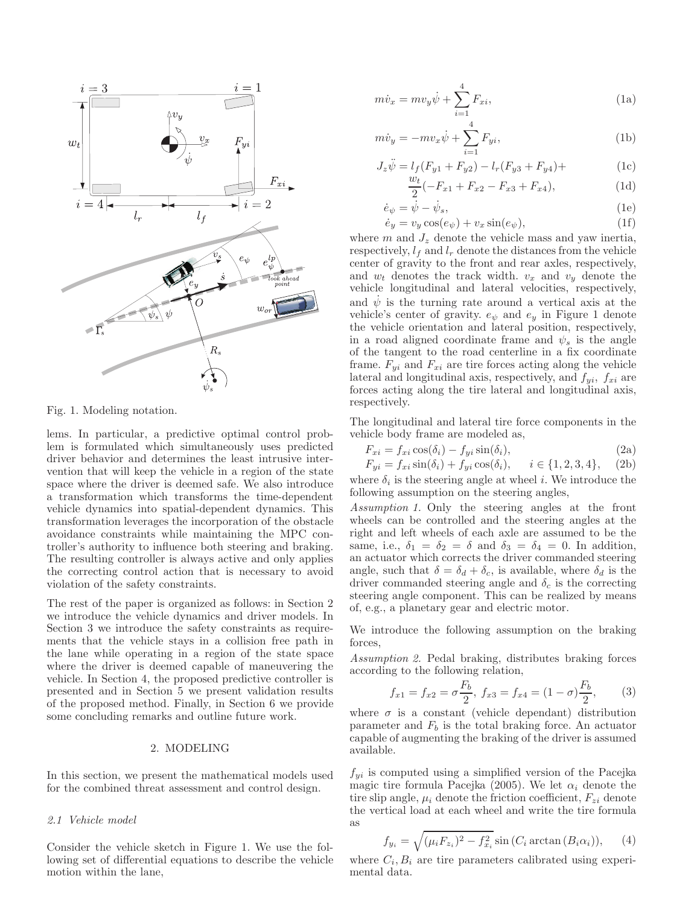

Fig. 1. Modeling notation.

lems. In particular, a predictive optimal control problem is formulated which simultaneously uses predicted driver behavior and determines the least intrusive intervention that will keep the vehicle in a region of the state space where the driver is deemed safe. We also introduce a transformation which transforms the time-dependent vehicle dynamics into spatial-dependent dynamics. This transformation leverages the incorporation of the obstacle avoidance constraints while maintaining the MPC controller's authority to influence both steering and braking. The resulting controller is always active and only applies the correcting control action that is necessary to avoid violation of the safety constraints.

The rest of the paper is organized as follows: in Section 2 we introduce the vehicle dynamics and driver models. In Section 3 we introduce the safety constraints as requirements that the vehicle stays in a collision free path in the lane while operating in a region of the state space where the driver is deemed capable of maneuvering the vehicle. In Section 4, the proposed predictive controller is presented and in Section 5 we present validation results of the proposed method. Finally, in Section 6 we provide some concluding remarks and outline future work.

### 2. MODELING

In this section, we present the mathematical models used for the combined threat assessment and control design.

#### 2.1 Vehicle model

Consider the vehicle sketch in Figure 1. We use the following set of differential equations to describe the vehicle motion within the lane,

$$
m\dot{v}_x = m v_y \dot{\psi} + \sum_{i=1}^{4} F_{xi},
$$
 (1a)

$$
m\dot{v}_y = -mv_x\dot{\psi} + \sum_{i=1}^{4} F_{yi},
$$
\n(1b)

$$
J_z \ddot{\psi} = l_f (F_{y1} + F_{y2}) - l_r (F_{y3} + F_{y4}) +
$$
(1c)  

$$
w_t (F_{y1} + F_{y2}) - l_r (F_{y3} + F_{y4}) +
$$
(1d)

$$
\frac{W_t}{2}(-F_{x1} + F_{x2} - F_{x3} + F_{x4}),\tag{1d}
$$

$$
\begin{aligned} \dot{e}_{\psi} &= \dot{\psi} - \dot{\psi}_s, \\ \dot{e}_y &= v_y \cos(e_{\psi}) + v_x \sin(e_{\psi}), \end{aligned} \tag{1e}
$$

where  $m$  and  $J_z$  denote the vehicle mass and yaw inertia, respectively,  $l_f$  and  $l_r$  denote the distances from the vehicle center of gravity to the front and rear axles, respectively, and  $w_t$  denotes the track width.  $v_x$  and  $v_y$  denote the vehicle longitudinal and lateral velocities, respectively, and  $\dot{\psi}$  is the turning rate around a vertical axis at the vehicle's center of gravity.  $e_{\psi}$  and  $e_{\psi}$  in Figure 1 denote the vehicle orientation and lateral position, respectively, in a road aligned coordinate frame and  $\psi_s$  is the angle of the tangent to the road centerline in a fix coordinate frame.  $F_{yi}$  and  $F_{xi}$  are tire forces acting along the vehicle lateral and longitudinal axis, respectively, and  $f_{yi}$ ,  $f_{xi}$  are forces acting along the tire lateral and longitudinal axis, respectively.

The longitudinal and lateral tire force components in the vehicle body frame are modeled as,

$$
F_{xi} = f_{xi} \cos(\delta_i) - f_{yi} \sin(\delta_i), \tag{2a}
$$

$$
F_{yi} = f_{xi} \sin(\delta_i) + f_{yi} \cos(\delta_i), \quad i \in \{1, 2, 3, 4\}, \quad (2b)
$$

where  $\delta_i$  is the steering angle at wheel *i*. We introduce the following assumption on the steering angles,

Assumption 1. Only the steering angles at the front wheels can be controlled and the steering angles at the right and left wheels of each axle are assumed to be the same, i.e.,  $\delta_1 = \delta_2 = \delta$  and  $\delta_3 = \delta_4 = 0$ . In addition, an actuator which corrects the driver commanded steering angle, such that  $\delta = \delta_d + \delta_c$ , is available, where  $\delta_d$  is the driver commanded steering angle and  $\delta_c$  is the correcting steering angle component. This can be realized by means of, e.g., a planetary gear and electric motor.

We introduce the following assumption on the braking forces,

Assumption 2. Pedal braking, distributes braking forces according to the following relation,

$$
f_{x1} = f_{x2} = \sigma \frac{F_b}{2}, \ f_{x3} = f_{x4} = (1 - \sigma) \frac{F_b}{2}, \tag{3}
$$

where  $\sigma$  is a constant (vehicle dependant) distribution parameter and  $F_b$  is the total braking force. An actuator capable of augmenting the braking of the driver is assumed available.

 $f_{yi}$  is computed using a simplified version of the Pacejka magic tire formula Pacejka (2005). We let  $\alpha_i$  denote the tire slip angle,  $\mu_i$  denote the friction coefficient,  $F_{zi}$  denote the vertical load at each wheel and write the tire formula as

$$
f_{y_i} = \sqrt{(\mu_i F_{z_i})^2 - f_{x_i}^2} \sin(C_i \arctan(B_i \alpha_i)), \quad (4)
$$

where  $C_i, B_i$  are tire parameters calibrated using experimental data.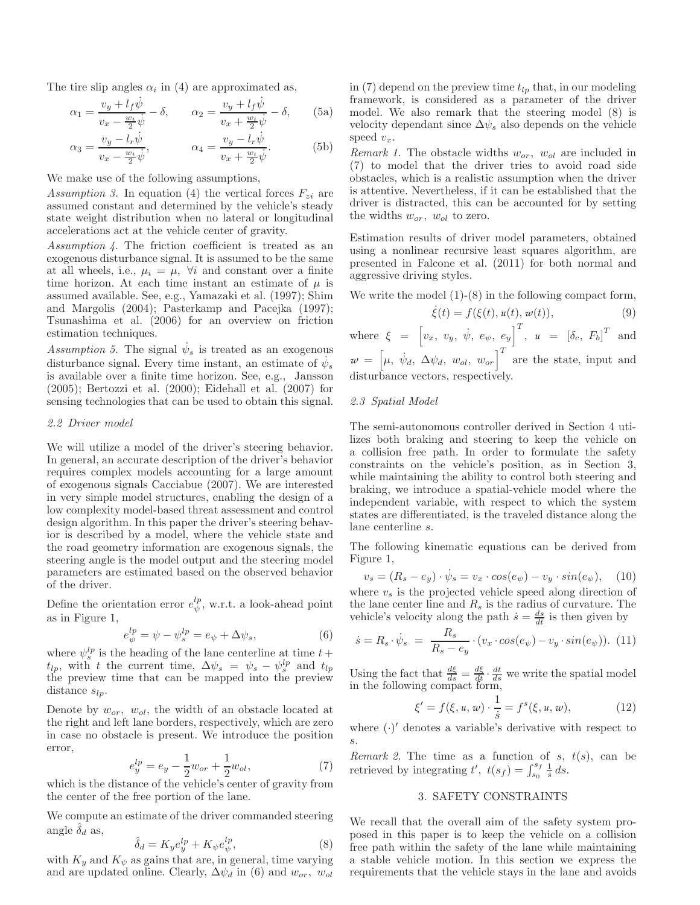The tire slip angles  $\alpha_i$  in (4) are approximated as,

$$
\alpha_1 = \frac{v_y + l_f \dot{\psi}}{v_x - \frac{w_t}{2} \dot{\psi}} - \delta, \qquad \alpha_2 = \frac{v_y + l_f \dot{\psi}}{v_x + \frac{w_t}{2} \dot{\psi}} - \delta,
$$
 (5a)

$$
\alpha_3 = \frac{v_y - l_r \dot{\psi}}{v_x - \frac{w_t}{2} \dot{\psi}}, \qquad \alpha_4 = \frac{v_y - l_r \dot{\psi}}{v_x + \frac{w_t}{2} \dot{\psi}}.
$$
 (5b)

We make use of the following assumptions,

Assumption 3. In equation (4) the vertical forces  $F_{zi}$  are assumed constant and determined by the vehicle's steady state weight distribution when no lateral or longitudinal accelerations act at the vehicle center of gravity.

Assumption 4. The friction coefficient is treated as an exogenous disturbance signal. It is assumed to be the same at all wheels, i.e.,  $\mu_i = \mu$ ,  $\forall i$  and constant over a finite time horizon. At each time instant an estimate of  $\mu$  is assumed available. See, e.g., Yamazaki et al. (1997); Shim and Margolis (2004); Pasterkamp and Pacejka (1997); Tsunashima et al. (2006) for an overview on friction estimation techniques.

Assumption 5. The signal  $\dot{\psi}_s$  is treated as an exogenous disturbance signal. Every time instant, an estimate of  $\dot{\psi}_s$ is available over a finite time horizon. See, e.g., Jansson (2005); Bertozzi et al. (2000); Eidehall et al. (2007) for sensing technologies that can be used to obtain this signal.

#### 2.2 Driver model

We will utilize a model of the driver's steering behavior. In general, an accurate description of the driver's behavior requires complex models accounting for a large amount of exogenous signals Cacciabue (2007). We are interested in very simple model structures, enabling the design of a low complexity model-based threat assessment and control design algorithm. In this paper the driver's steering behavior is described by a model, where the vehicle state and the road geometry information are exogenous signals, the steering angle is the model output and the steering model parameters are estimated based on the observed behavior of the driver.

Define the orientation error  $e^{lp}_{\psi}$ , w.r.t. a look-ahead point as in Figure 1,

$$
e^{lp}_{\psi} = \psi - \psi^{lp}_{s} = e_{\psi} + \Delta \psi_{s}, \qquad (6)
$$

where  $\psi_s^{lp}$  is the heading of the lane centerline at time  $t +$  $t_{lp}$ , with t the current time,  $\Delta \psi_s = \psi_s - \psi_s^{lp}$  and  $t_{lp}$ the preview time that can be mapped into the preview distance  $s_{lp}$ .

Denote by  $w_{or}$ ,  $w_{ol}$ , the width of an obstacle located at the right and left lane borders, respectively, which are zero in case no obstacle is present. We introduce the position error,

$$
e_y^{lp} = e_y - \frac{1}{2}w_{or} + \frac{1}{2}w_{ol},\tag{7}
$$

which is the distance of the vehicle's center of gravity from the center of the free portion of the lane.

We compute an estimate of the driver commanded steering angle  $\delta_d$  as,

$$
\hat{\delta}_d = K_y e_y^{lp} + K_\psi e_\psi^{lp},\tag{8}
$$

with  $K_y$  and  $K_\psi$  as gains that are, in general, time varying and are updated online. Clearly,  $\Delta \psi_d$  in (6) and  $w_{or}$ ,  $w_{ol}$  in (7) depend on the preview time  $t_{lp}$  that, in our modeling framework, is considered as a parameter of the driver model. We also remark that the steering model (8) is velocity dependant since  $\Delta \psi_s$  also depends on the vehicle speed  $v_x$ .

*Remark 1.* The obstacle widths  $w_{or}$ ,  $w_{ol}$  are included in (7) to model that the driver tries to avoid road side obstacles, which is a realistic assumption when the driver is attentive. Nevertheless, if it can be established that the driver is distracted, this can be accounted for by setting the widths  $w_{or}$ ,  $w_{ol}$  to zero.

Estimation results of driver model parameters, obtained using a nonlinear recursive least squares algorithm, are presented in Falcone et al. (2011) for both normal and aggressive driving styles.

We write the model  $(1)-(8)$  in the following compact form,

$$
\dot{\xi}(t) = f(\xi(t), u(t), w(t)),
$$
\n(9)

where  $\xi = \left[v_x, v_y, \dot{\psi}, e_{\psi}, e_y\right]^T$ ,  $u = \left[\delta_c, F_b\right]^T$  and  $w = \begin{bmatrix} \mu, & \dot{\psi}_d, & \Delta \psi_d, & w_{ol}, & w_{or} \end{bmatrix}^T$  are the state, input and

disturbance vectors, respectively.

# 2.3 Spatial Model

The semi-autonomous controller derived in Section 4 utilizes both braking and steering to keep the vehicle on a collision free path. In order to formulate the safety constraints on the vehicle's position, as in Section 3, while maintaining the ability to control both steering and braking, we introduce a spatial-vehicle model where the independent variable, with respect to which the system states are differentiated, is the traveled distance along the lane centerline s.

The following kinematic equations can be derived from Figure 1,

$$
v_s = (R_s - e_y) \cdot \dot{\psi}_s = v_x \cdot \cos(e_\psi) - v_y \cdot \sin(e_\psi), \quad (10)
$$

where  $v<sub>s</sub>$  is the projected vehicle speed along direction of the lane center line and  $R_s$  is the radius of curvature. The vehicle's velocity along the path  $\dot{s} = \frac{ds}{dt}$  is then given by

$$
\dot{s} = R_s \cdot \dot{\psi}_s = \frac{R_s}{R_s - e_y} \cdot (v_x \cdot \cos(e_\psi) - v_y \cdot \sin(e_\psi)). \tag{11}
$$

Using the fact that  $\frac{d\xi}{ds} = \frac{d\xi}{dt} \cdot \frac{dt}{ds}$  we write the spatial model in the following compact form,

$$
\xi' = f(\xi, u, w) \cdot \frac{1}{\dot{s}} = f^{s}(\xi, u, w), \tag{12}
$$

where  $(\cdot)'$  denotes a variable's derivative with respect to s.

Remark 2. The time as a function of s,  $t(s)$ , can be retrieved by integrating  $t'$ ,  $t(s_f) = \int_{s_0}^{s_f} \frac{1}{s} ds$ .

# 3. SAFETY CONSTRAINTS

We recall that the overall aim of the safety system proposed in this paper is to keep the vehicle on a collision free path within the safety of the lane while maintaining a stable vehicle motion. In this section we express the requirements that the vehicle stays in the lane and avoids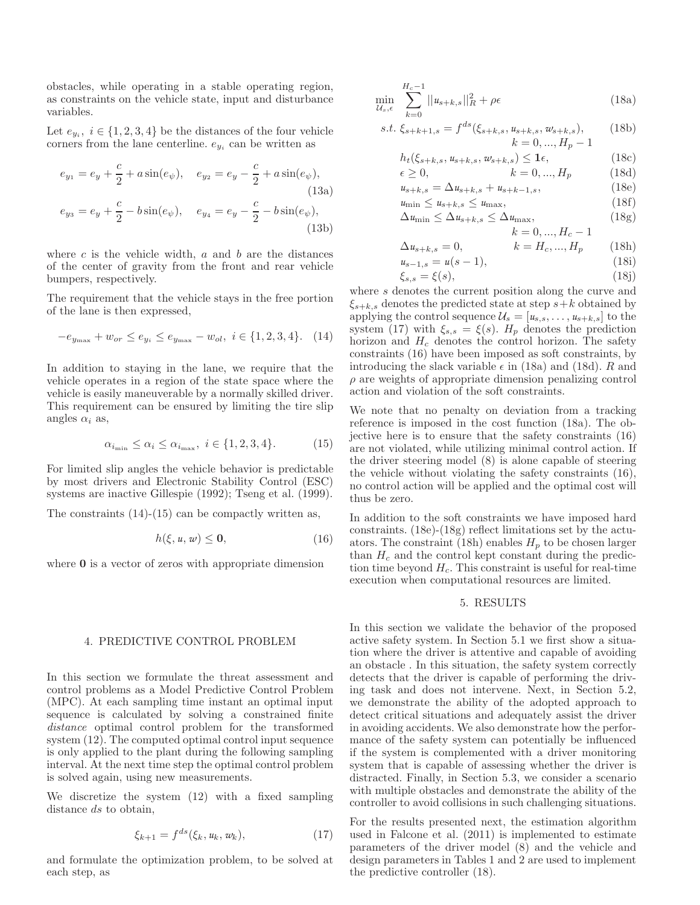obstacles, while operating in a stable operating region, as constraints on the vehicle state, input and disturbance variables.

Let  $e_{y_i}$ ,  $i \in \{1, 2, 3, 4\}$  be the distances of the four vehicle corners from the lane centerline.  $e_{y_i}$  can be written as

$$
e_{y_1} = e_y + \frac{c}{2} + a \sin(e_{\psi}), \quad e_{y_2} = e_y - \frac{c}{2} + a \sin(e_{\psi}),
$$
  
(13a)  

$$
e_{y_3} = e_y + \frac{c}{2} - b \sin(e_{\psi}), \quad e_{y_4} = e_y - \frac{c}{2} - b \sin(e_{\psi}),
$$
  
(13b)

where  $c$  is the vehicle width,  $a$  and  $b$  are the distances of the center of gravity from the front and rear vehicle bumpers, respectively.

The requirement that the vehicle stays in the free portion of the lane is then expressed,

$$
-e_{y_{\max}} + w_{or} \le e_{y_i} \le e_{y_{\max}} - w_{ol}, \ i \in \{1, 2, 3, 4\}. \tag{14}
$$

In addition to staying in the lane, we require that the vehicle operates in a region of the state space where the vehicle is easily maneuverable by a normally skilled driver. This requirement can be ensured by limiting the tire slip angles  $\alpha_i$  as,

$$
\alpha_{i_{\min}} \le \alpha_i \le \alpha_{i_{\max}}, \ i \in \{1, 2, 3, 4\}. \tag{15}
$$

For limited slip angles the vehicle behavior is predictable by most drivers and Electronic Stability Control (ESC) systems are inactive Gillespie (1992); Tseng et al. (1999).

The constraints  $(14)-(15)$  can be compactly written as,

$$
h(\xi, u, w) \le 0,\tag{16}
$$

where **0** is a vector of zeros with appropriate dimension

# 4. PREDICTIVE CONTROL PROBLEM

In this section we formulate the threat assessment and control problems as a Model Predictive Control Problem (MPC). At each sampling time instant an optimal input sequence is calculated by solving a constrained finite distance optimal control problem for the transformed system (12). The computed optimal control input sequence is only applied to the plant during the following sampling interval. At the next time step the optimal control problem is solved again, using new measurements.

We discretize the system (12) with a fixed sampling distance ds to obtain,

$$
\xi_{k+1} = f^{ds}(\xi_k, u_k, w_k), \tag{17}
$$

and formulate the optimization problem, to be solved at each step, as

$$
\min_{\mathcal{U}_s, \epsilon} \sum_{k=0}^{H_c - 1} ||u_{s+k,s}||_R^2 + \rho \epsilon
$$
\n(18a)

s.t. 
$$
\xi_{s+k+1,s} = f^{ds}(\xi_{s+k,s}, u_{s+k,s}, w_{s+k,s}),
$$
 (18b)  
\n $k = 0, ..., H_p - 1$ 

$$
h_t(\xi_{s+k,s}, u_{s+k,s}, w_{s+k,s}) \leq \mathbf{1}\epsilon, \tag{18c}
$$

$$
\epsilon \ge 0, \qquad k = 0, ..., H_p \qquad (18d)
$$
  

$$
u_{s+k,s} = \Delta u_{s+k,s} + u_{s+k-1,s}, \qquad (18e)
$$

$$
u_{\min} \le u_{s+k,s} \le u_{\max}, \tag{186}
$$
  
\n
$$
u_{\min} \le u_{s+k,s} \le u_{\max}, \tag{186}
$$

$$
\Delta u_{\min} \le \Delta u_{s+k,s} \le \Delta u_{\max},\tag{18g}
$$

$$
k=0,...,H_{c}-1
$$

$$
\Delta u_{s+k,s} = 0, \qquad k = H_c, ..., H_p \qquad (18h)
$$

$$
u_{s-1,s} = u(s-1),
$$
\n(18i)  
\n(18ii)

$$
\xi_{s,s} = \xi(s),\tag{18j}
$$

where s denotes the current position along the curve and  $\xi_{s+k,s}$  denotes the predicted state at step  $s+k$  obtained by applying the control sequence  $\mathcal{U}_s = [u_{s,s}, \ldots, u_{s+k,s}]$  to the system (17) with  $\xi_{s,s} = \xi(s)$ .  $H_p$  denotes the prediction horizon and  $H_c$  denotes the control horizon. The safety constraints (16) have been imposed as soft constraints, by introducing the slack variable  $\epsilon$  in (18a) and (18d). R and  $\rho$  are weights of appropriate dimension penalizing control action and violation of the soft constraints.

We note that no penalty on deviation from a tracking reference is imposed in the cost function (18a). The objective here is to ensure that the safety constraints (16) are not violated, while utilizing minimal control action. If the driver steering model (8) is alone capable of steering the vehicle without violating the safety constraints (16), no control action will be applied and the optimal cost will thus be zero.

In addition to the soft constraints we have imposed hard constraints. (18e)-(18g) reflect limitations set by the actuators. The constraint (18h) enables  $H_p$  to be chosen larger than  $H_c$  and the control kept constant during the prediction time beyond  $H_c$ . This constraint is useful for real-time execution when computational resources are limited.

#### 5. RESULTS

In this section we validate the behavior of the proposed active safety system. In Section 5.1 we first show a situation where the driver is attentive and capable of avoiding an obstacle . In this situation, the safety system correctly detects that the driver is capable of performing the driving task and does not intervene. Next, in Section 5.2, we demonstrate the ability of the adopted approach to detect critical situations and adequately assist the driver in avoiding accidents. We also demonstrate how the performance of the safety system can potentially be influenced if the system is complemented with a driver monitoring system that is capable of assessing whether the driver is distracted. Finally, in Section 5.3, we consider a scenario with multiple obstacles and demonstrate the ability of the controller to avoid collisions in such challenging situations.

For the results presented next, the estimation algorithm used in Falcone et al. (2011) is implemented to estimate parameters of the driver model (8) and the vehicle and design parameters in Tables 1 and 2 are used to implement the predictive controller (18).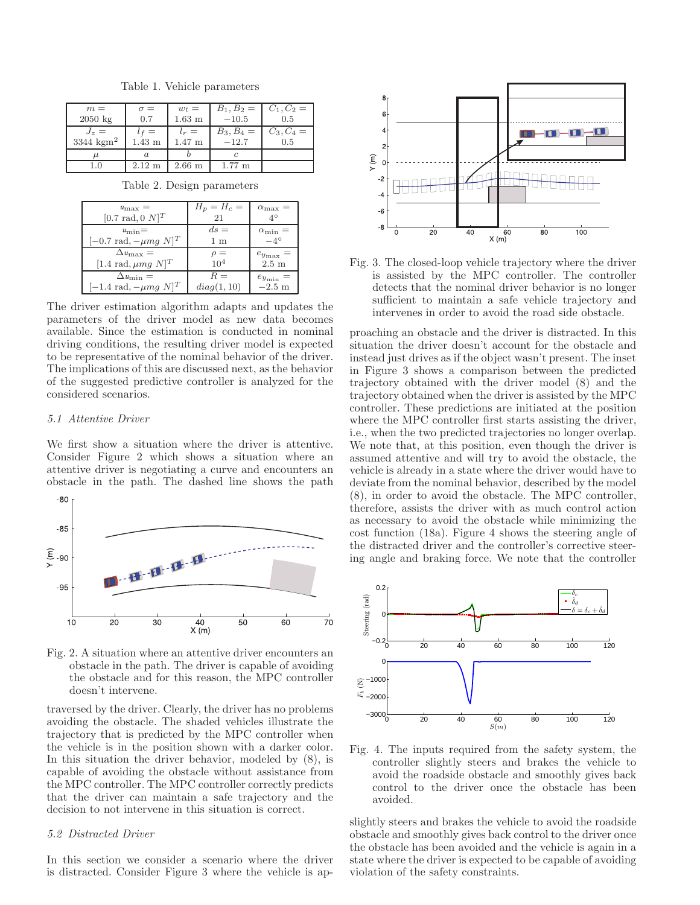| $m =$               | $\sigma =$       | $w_t =$           | $B_1, B_2 =$     | $C_1, C_2 =$ |
|---------------------|------------------|-------------------|------------------|--------------|
| $2050 \text{ kg}$   | 0.7              | $1.63$ m          | $-10.5$          | 0.5          |
| $J_z =$             | $\epsilon =$     | $l_r =$           | $B_3, B_4 =$     | $C_3, C_4 =$ |
| 3344 $\text{kgm}^2$ | $1.43 \text{ m}$ | $1.47~\mathrm{m}$ | $-12.7$          | 0.5          |
| u                   | $\alpha$         |                   |                  |              |
| $1.0\,$             | $2.12 \text{ m}$ | $2.66$ m          | $1.77 \text{ m}$ |              |

Table 1. Vehicle parameters

Table 2. Design parameters

| $u_{\text{max}} =$<br>[0.7 rad, 0 $N$ ] <sup>T</sup> | $H_p = H_c =$<br>21 | $\alpha_{\rm max} =$ |
|------------------------------------------------------|---------------------|----------------------|
| $u_{\min} =$                                         | $ds =$              | $\alpha_{\min} =$    |
| $[-0.7 \text{ rad}, -\mu mg N]^T$                    | 1 m                 | $-4^\circ$           |
| $\Delta u_{\rm max} =$                               | $\rho =$            | $e_{y_{\max}} =$     |
| [1.4 rad, $\mu mg \ N$ ] <sup>T</sup>                | 10 <sup>4</sup>     | $2.5 \text{ m}$      |
| $\Delta u_{\min} =$                                  | $R =$               | $e_{y_{\min}}$       |
| $[-1.4 \text{ rad}, -\mu mg \text{ N}]^T$            | diag(1, 10)         | $-2.5$ m             |

The driver estimation algorithm adapts and updates the parameters of the driver model as new data becomes available. Since the estimation is conducted in nominal driving conditions, the resulting driver model is expected to be representative of the nominal behavior of the driver. The implications of this are discussed next, as the behavior of the suggested predictive controller is analyzed for the considered scenarios.

#### 5.1 Attentive Driver

We first show a situation where the driver is attentive. Consider Figure 2 which shows a situation where an attentive driver is negotiating a curve and encounters an obstacle in the path. The dashed line shows the path



Fig. 2. A situation where an attentive driver encounters an obstacle in the path. The driver is capable of avoiding the obstacle and for this reason, the MPC controller doesn't intervene.

traversed by the driver. Clearly, the driver has no problems avoiding the obstacle. The shaded vehicles illustrate the trajectory that is predicted by the MPC controller when the vehicle is in the position shown with a darker color. In this situation the driver behavior, modeled by (8), is capable of avoiding the obstacle without assistance from the MPC controller. The MPC controller correctly predicts that the driver can maintain a safe trajectory and the decision to not intervene in this situation is correct.

### 5.2 Distracted Driver

In this section we consider a scenario where the driver is distracted. Consider Figure 3 where the vehicle is ap-



Fig. 3. The closed-loop vehicle trajectory where the driver is assisted by the MPC controller. The controller detects that the nominal driver behavior is no longer sufficient to maintain a safe vehicle trajectory and intervenes in order to avoid the road side obstacle.

proaching an obstacle and the driver is distracted. In this situation the driver doesn't account for the obstacle and instead just drives as if the object wasn't present. The inset in Figure 3 shows a comparison between the predicted trajectory obtained with the driver model (8) and the trajectory obtained when the driver is assisted by the MPC controller. These predictions are initiated at the position where the MPC controller first starts assisting the driver, i.e., when the two predicted trajectories no longer overlap. We note that, at this position, even though the driver is assumed attentive and will try to avoid the obstacle, the vehicle is already in a state where the driver would have to deviate from the nominal behavior, described by the model (8), in order to avoid the obstacle. The MPC controller, therefore, assists the driver with as much control action as necessary to avoid the obstacle while minimizing the cost function (18a). Figure 4 shows the steering angle of the distracted driver and the controller's corrective steering angle and braking force. We note that the controller



Fig. 4. The inputs required from the safety system, the controller slightly steers and brakes the vehicle to avoid the roadside obstacle and smoothly gives back control to the driver once the obstacle has been avoided.

slightly steers and brakes the vehicle to avoid the roadside obstacle and smoothly gives back control to the driver once the obstacle has been avoided and the vehicle is again in a state where the driver is expected to be capable of avoiding violation of the safety constraints.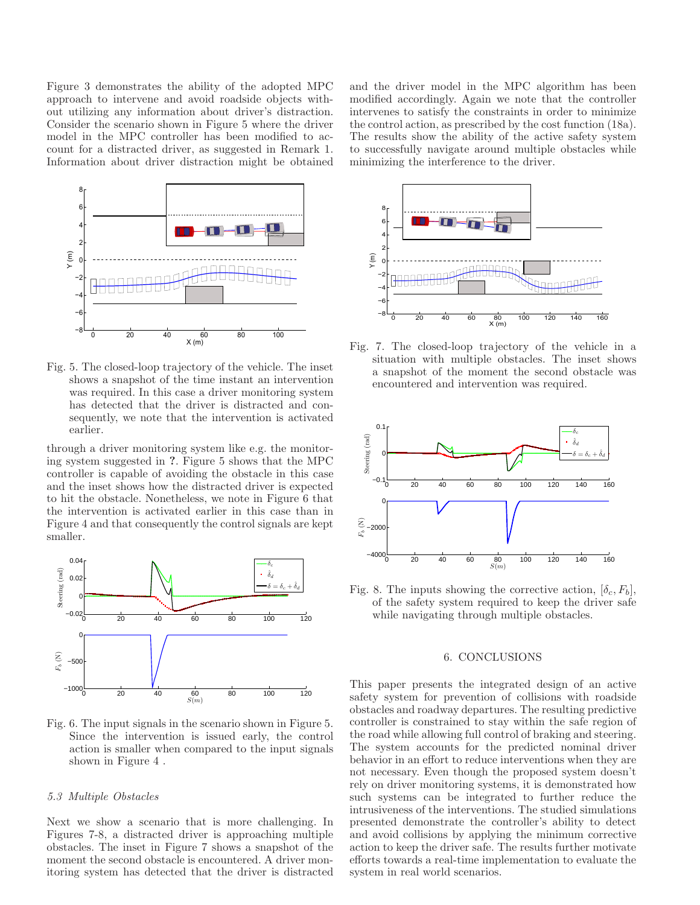Figure 3 demonstrates the ability of the adopted MPC approach to intervene and avoid roadside objects without utilizing any information about driver's distraction. Consider the scenario shown in Figure 5 where the driver model in the MPC controller has been modified to account for a distracted driver, as suggested in Remark 1. Information about driver distraction might be obtained



Fig. 5. The closed-loop trajectory of the vehicle. The inset shows a snapshot of the time instant an intervention was required. In this case a driver monitoring system has detected that the driver is distracted and consequently, we note that the intervention is activated earlier.

through a driver monitoring system like e.g. the monitoring system suggested in ?. Figure 5 shows that the MPC controller is capable of avoiding the obstacle in this case and the inset shows how the distracted driver is expected to hit the obstacle. Nonetheless, we note in Figure 6 that the intervention is activated earlier in this case than in Figure 4 and that consequently the control signals are kept smaller.



Fig. 6. The input signals in the scenario shown in Figure 5. Since the intervention is issued early, the control action is smaller when compared to the input signals shown in Figure 4 .

#### 5.3 Multiple Obstacles

Next we show a scenario that is more challenging. In Figures 7-8, a distracted driver is approaching multiple obstacles. The inset in Figure 7 shows a snapshot of the moment the second obstacle is encountered. A driver monitoring system has detected that the driver is distracted and the driver model in the MPC algorithm has been modified accordingly. Again we note that the controller intervenes to satisfy the constraints in order to minimize the control action, as prescribed by the cost function (18a). The results show the ability of the active safety system to successfully navigate around multiple obstacles while minimizing the interference to the driver.



Fig. 7. The closed-loop trajectory of the vehicle in a situation with multiple obstacles. The inset shows a snapshot of the moment the second obstacle was encountered and intervention was required.



Fig. 8. The inputs showing the corrective action,  $[\delta_c, F_b]$ , of the safety system required to keep the driver safe while navigating through multiple obstacles.

# 6. CONCLUSIONS

This paper presents the integrated design of an active safety system for prevention of collisions with roadside obstacles and roadway departures. The resulting predictive controller is constrained to stay within the safe region of the road while allowing full control of braking and steering. The system accounts for the predicted nominal driver behavior in an effort to reduce interventions when they are not necessary. Even though the proposed system doesn't rely on driver monitoring systems, it is demonstrated how such systems can be integrated to further reduce the intrusiveness of the interventions. The studied simulations presented demonstrate the controller's ability to detect and avoid collisions by applying the minimum corrective action to keep the driver safe. The results further motivate efforts towards a real-time implementation to evaluate the system in real world scenarios.